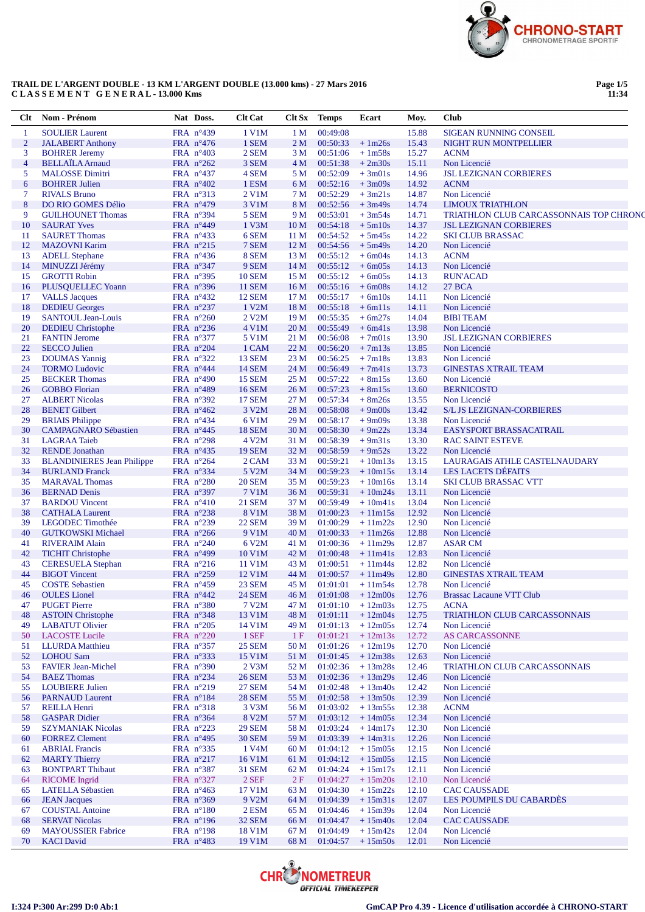

### **TRAIL DE L'ARGENT DOUBLE - 13 KM L'ARGENT DOUBLE (13.000 kms) - 27 Mars 2016 C L A S S E M E N T G E N E R A L - 13.000 Kms**

**Page 1/5 11:34**

| Clt                   | Nom - Prénom                                          | Nat Doss.                                | <b>Clt</b> Cat          | Clt Sx          | <b>Temps</b>         | Ecart                            | Moy.           | <b>Club</b>                                                        |
|-----------------------|-------------------------------------------------------|------------------------------------------|-------------------------|-----------------|----------------------|----------------------------------|----------------|--------------------------------------------------------------------|
| -1                    | <b>SOULIER Laurent</b>                                | FRA $n^{\circ}439$                       | 1 V1M                   | 1 <sub>M</sub>  | 00:49:08             |                                  | 15.88          | <b>SIGEAN RUNNING CONSEIL</b>                                      |
| $\overline{2}$        | <b>JALABERT Anthony</b>                               | FRA n°476                                | 1 SEM                   | 2 <sub>M</sub>  | 00:50:33             | $+1m26s$                         | 15.43          | NIGHT RUN MONTPELLIER                                              |
| 3                     | <b>BOHRER Jeremy</b>                                  | FRA $n^{\circ}403$                       | 2 SEM                   | 3 M             | 00:51:06             | $+1m58s$                         | 15.27          | <b>ACNM</b>                                                        |
| $\overline{4}$        | <b>BELLAÏLA</b> Arnaud                                | FRA $n^{\circ}262$                       | 3 SEM                   | 4 M             | 00:51:38             | $+2m30s$                         | 15.11          | Non Licencié                                                       |
| 5                     | <b>MALOSSE Dimitri</b>                                | FRA $n^{\circ}437$                       | 4 SEM                   | 5 M             | 00:52:09             | $+3m01s$                         | 14.96          | <b>JSL LEZIGNAN CORBIERES</b>                                      |
| 6                     | <b>BOHRER Julien</b>                                  | FRA $n^{\circ}402$                       | 1 ESM                   | 6 M             | 00:52:16             | $+3m09s$                         | 14.92          | <b>ACNM</b>                                                        |
| $\tau$                | <b>RIVALS Bruno</b>                                   | FRA n°313                                | 2 V1M                   | 7 M             | 00:52:29             | $+3m21s$                         | 14.87          | Non Licencié                                                       |
| $\boldsymbol{8}$<br>9 | <b>DO RIO GOMES Délio</b><br><b>GUILHOUNET Thomas</b> | FRA $n^{\circ}479$<br>FRA n°394          | 3 V1M<br>5 SEM          | 8 M<br>9 M      | 00:52:56<br>00:53:01 | $+3m49s$<br>$+3m54s$             | 14.74<br>14.71 | <b>LIMOUX TRIATHLON</b><br>TRIATHLON CLUB CARCASSONNAIS TOP CHRONO |
| 10                    | <b>SAURAT Yves</b>                                    |                                          | 1 V3M                   | 10 <sub>M</sub> | 00:54:18             | $+5m10s$                         | 14.37          | <b>JSL LEZIGNAN CORBIERES</b>                                      |
| 11                    | <b>SAURET Thomas</b>                                  | FRA $n^{\circ}449$<br>FRA n°433          | 6 SEM                   | 11 <sub>M</sub> | 00:54:52             | $+5m45s$                         | 14.22          | <b>SKI CLUB BRASSAC</b>                                            |
| 12                    | <b>MAZOVNI Karim</b>                                  | FRA n°215                                | 7 SEM                   | 12 <sub>M</sub> | 00:54:56             | $+5m49s$                         | 14.20          | Non Licencié                                                       |
| 13                    | <b>ADELL Stephane</b>                                 | FRA $n^{\circ}436$                       | 8 SEM                   | 13 <sub>M</sub> | 00:55:12             | $+6m04s$                         | 14.13          | <b>ACNM</b>                                                        |
| 14                    | MINUZZI Jérémy                                        | FRA n°347                                | 9 SEM                   | 14 <sub>M</sub> | 00:55:12             | $+6m05s$                         | 14.13          | Non Licencié                                                       |
| 15                    | <b>GROTTI Robin</b>                                   | FRA $n^{\circ}395$                       | <b>10 SEM</b>           | 15 <sub>M</sub> | 00:55:12             | $+6m05s$                         | 14.13          | <b>RUN'ACAD</b>                                                    |
| 16                    | PLUSQUELLEC Yoann                                     | FRA n°396                                | <b>11 SEM</b>           | 16 <sub>M</sub> | 00:55:16             | $+6m08s$                         | 14.12          | <b>27 BCA</b>                                                      |
| 17                    | <b>VALLS Jacques</b>                                  | FRA $n^{\circ}432$                       | <b>12 SEM</b>           | 17 M            | 00:55:17             | $+6m10s$                         | 14.11          | Non Licencié                                                       |
| 18                    | <b>DEDIEU</b> Georges                                 | FRA n°237                                | 1 V2M                   | 18 <sub>M</sub> | 00:55:18             | $+6m11s$                         | 14.11          | Non Licencié                                                       |
| 19                    | <b>SANTOUL Jean-Louis</b>                             | FRA $n^{\circ}260$                       | 2 V2M                   | 19 <sub>M</sub> | 00:55:35             | $+6m27s$                         | 14.04          | <b>BIBI TEAM</b>                                                   |
| 20                    | <b>DEDIEU</b> Christophe                              | FRA n°236                                | 4 V1M                   | 20 <sub>M</sub> | 00:55:49             | $+6m41s$                         | 13.98          | Non Licencié                                                       |
| 21                    | <b>FANTIN Jerome</b>                                  | FRA n°377                                | 5 V1M                   | 21 M            | 00:56:08             | $+7m01s$                         | 13.90          | <b>JSL LEZIGNAN CORBIERES</b>                                      |
| 22                    | <b>SECCO</b> Julien                                   | FRA $n^{\circ}204$                       | 1 CAM                   | 22 M            | 00:56:20             | $+7m13s$                         | 13.85          | Non Licencié                                                       |
| 23                    | <b>DOUMAS</b> Yannig                                  | FRA n°322                                | <b>13 SEM</b>           | 23 M            | 00:56:25             | $+7m18s$                         | 13.83          | Non Licencié                                                       |
| 24                    | <b>TORMO Ludovic</b>                                  | FRA $n^{\circ}444$                       | <b>14 SEM</b>           | 24 M            | 00:56:49             | $+7m41s$                         | 13.73          | <b>GINESTAS XTRAIL TEAM</b>                                        |
| 25                    | <b>BECKER Thomas</b>                                  | FRA $n^{\circ}490$                       | <b>15 SEM</b>           | 25 M            | 00:57:22             | $+8m15s$                         | 13.60          | Non Licencié                                                       |
| 26                    | <b>GOBBO</b> Florian                                  | FRA $n^{\circ}489$                       | <b>16 SEM</b>           | 26 <sub>M</sub> | 00:57:23             | $+8m15s$                         | 13.60          | <b>BERNICOSTO</b>                                                  |
| 27                    | <b>ALBERT Nicolas</b>                                 | FRA n°392                                | <b>17 SEM</b>           | 27 M            | 00:57:34             | $+8m26s$                         | 13.55          | Non Licencié                                                       |
| 28                    | <b>BENET Gilbert</b>                                  | FRA $n^{\circ}462$                       | 3 V2M                   | 28 M            | 00:58:08             | $+9m00s$                         | 13.42          | S/L JS LEZIGNAN-CORBIERES                                          |
| 29                    | <b>BRIAIS</b> Philippe                                | FRA $n^{\circ}434$                       | 6 V1M                   | 29 M            | 00:58:17             | $+9m09s$                         | 13.38          | Non Licencié                                                       |
| 30                    | <b>CAMPAGNARO Sébastien</b>                           | FRA $n^{\circ}445$                       | <b>18 SEM</b>           | 30 M            | 00:58:30             | $+9m22s$                         | 13.34          | EASYSPORT BRASSACATRAIL                                            |
| 31                    | <b>LAGRAA</b> Taieb                                   | FRA $n^{\circ}298$                       | 4 V2M                   | 31 M            | 00:58:39             | $+9m31s$                         | 13.30          | <b>RAC SAINT ESTEVE</b>                                            |
| 32                    | <b>RENDE</b> Jonathan                                 | FRA $n^{\circ}435$                       | <b>19 SEM</b>           | 32 M            | 00:58:59             | $+9m52s$                         | 13.22          | Non Licencié                                                       |
| 33                    | <b>BLANDINIERES Jean Philippe</b>                     | FRA n°264                                | 2 CAM                   | 33 M            | 00:59:21             | $+10m13s$                        | 13.15          | LAURAGAIS ATHLE CASTELNAUDARY                                      |
| 34                    | <b>BURLAND Franck</b>                                 | FRA $n^{\circ}334$                       | 5 V2M                   | 34 M            | 00:59:23             | $+10m15s$                        | 13.14          | <b>LES LACETS DÉFAITS</b>                                          |
| 35                    | <b>MARAVAL Thomas</b>                                 | FRA $n^{\circ}280$                       | <b>20 SEM</b>           | 35 M            | 00:59:23             | $+10m16s$                        | 13.14          | <b>SKI CLUB BRASSAC VTT</b>                                        |
| 36                    | <b>BERNAD</b> Denis                                   | FRA $n^{\circ}397$                       | 7 V1M                   | 36 M            | 00:59:31             | $+10m24s$                        | 13.11          | Non Licencié                                                       |
| 37                    | <b>BARDOU</b> Vincent                                 | FRA $n^{\circ}410$                       | <b>21 SEM</b>           | 37 M            | 00:59:49             | $+10m41s$                        | 13.04          | Non Licencié                                                       |
| 38                    | <b>CATHALA Laurent</b>                                | FRA $n^{\circ}238$                       | 8 V1M                   | 38 M            | 01:00:23             | $+11m15s$                        | 12.92          | Non Licencié                                                       |
| 39                    | LEGODEC Timothée                                      | FRA n°239                                | <b>22 SEM</b>           | 39 M            | 01:00:29             | $+11m22s$                        | 12.90          | Non Licencié                                                       |
| 40                    | <b>GUTKOWSKI Michael</b>                              | FRA n°266                                | 9 V1M                   | 40 M            | 01:00:33             | $+11m26s$                        | 12.88          | Non Licencié                                                       |
| 41                    | <b>RIVERAIM Alain</b>                                 | FRA $n^{\circ}240$                       | 6 V2M                   | 41 M            | 01:00:36             | $+11m29s$                        | 12.87          | <b>ASAR CM</b>                                                     |
| 42                    | <b>TICHIT Christophe</b>                              | FRA $n^{\circ}499$                       | 10 V1M                  | 42 M            | 01:00:48             | $+11m41s$                        | 12.83          | Non Licencié                                                       |
| 43                    | <b>CERESUELA</b> Stephan                              | FRA n°216                                | 11 V1M                  | 43 M            | 01:00:51             | $+11m44s$                        | 12.82          | Non Licencié                                                       |
| 44                    | <b>BIGOT</b> Vincent                                  | FRA $n^{\circ}259$                       | 12 V1M                  | 44 M            | 01:00:57             | $+11m49s$                        | 12.80          | <b>GINESTAS XTRAIL TEAM</b>                                        |
| 45<br>46              | <b>COSTE Sebastien</b><br><b>OULES</b> Lionel         | FRA $n^{\circ}459$<br>FRA $n^{\circ}442$ | 23 SEM<br><b>24 SEM</b> | 45 M<br>46 M    | 01:01:01             | $+11m54s$<br>$01:01:08$ + 12m00s | 12.78<br>12.76 | Non Licencié<br><b>Brassac Lacaune VTT Club</b>                    |
| 47                    | <b>PUGET Pierre</b>                                   | FRA n°380                                | 7 V2M                   | 47 M            | 01:01:10             | $+12m03s$                        | 12.75          | <b>ACNA</b>                                                        |
| 48                    | <b>ASTOIN Christophe</b>                              | FRA n°348                                | 13 V1M                  | 48 M            | 01:01:11             | $+12m04s$                        | 12.75          | <b>TRIATHLON CLUB CARCASSONNAIS</b>                                |
| 49                    | <b>LABATUT Olivier</b>                                | FRA $n^{\circ}205$                       | 14 V1M                  | 49 M            | 01:01:13             | $+12m05s$                        | 12.74          | Non Licencié                                                       |
| 50                    | <b>LACOSTE</b> Lucile                                 | FRA $n^{\circ}220$                       | 1 SEF                   | 1F              | 01:01:21             | $+12m13s$                        | 12.72          | <b>AS CARCASSONNE</b>                                              |
| 51                    | <b>LLURDA</b> Matthieu                                | FRA n°357                                | <b>25 SEM</b>           | 50 M            | 01:01:26             | $+12m19s$                        | 12.70          | Non Licencié                                                       |
| 52                    | <b>LOHOU Sam</b>                                      | FRA n°333                                | 15 V1M                  | 51 M            | 01:01:45             | $+12m38s$                        | 12.63          | Non Licencié                                                       |
| 53                    | <b>FAVIER Jean-Michel</b>                             | FRA $n^{\circ}390$                       | $2$ V $3M$              | 52 M            | 01:02:36             | $+13m28s$                        | 12.46          | TRIATHLON CLUB CARCASSONNAIS                                       |
| 54                    | <b>BAEZ Thomas</b>                                    | FRA $n^{\circ}234$                       | <b>26 SEM</b>           | 53 M            | 01:02:36             | $+13m29s$                        | 12.46          | Non Licencié                                                       |
| 55                    | <b>LOUBIERE Julien</b>                                | FRA $n^{\circ}219$                       | <b>27 SEM</b>           | 54 M            | 01:02:48             | $+13m40s$                        | 12.42          | Non Licencié                                                       |
| 56                    | <b>PARNAUD Laurent</b>                                | FRA n°184                                | <b>28 SEM</b>           | 55 M            | 01:02:58             | $+13m50s$                        | 12.39          | Non Licencié                                                       |
| 57                    | <b>REILLA Henri</b>                                   | FRA n°318                                | 3 V3M                   | 56 M            | 01:03:02             | $+13m55s$                        | 12.38          | <b>ACNM</b>                                                        |
| 58                    | <b>GASPAR Didier</b>                                  | FRA n°364                                | 8 V2M                   | 57 M            | 01:03:12             | $+14m05s$                        | 12.34          | Non Licencié                                                       |
| 59                    | <b>SZYMANIAK Nicolas</b>                              | FRA $n^{\circ}223$                       | <b>29 SEM</b>           | 58 M            | 01:03:24             | $+14m17s$                        | 12.30          | Non Licencié                                                       |
| 60                    | <b>FORREZ Clement</b>                                 | FRA $n^{\circ}495$                       | <b>30 SEM</b>           | 59 M            | 01:03:39             | $+14m31s$                        | 12.26          | Non Licencié                                                       |
| 61                    | <b>ABRIAL Francis</b>                                 | FRA n°335                                | 1 V4M                   | 60 M            | 01:04:12             | $+15m05s$                        | 12.15          | Non Licencié                                                       |
| 62                    | <b>MARTY Thierry</b>                                  | FRA $n^{\circ}217$                       | 16 V1M                  | 61 M            | 01:04:12             | $+15m05s$                        | 12.15          | Non Licencié                                                       |
| 63                    | <b>BONTPART Thibaut</b>                               | FRA n°387                                | <b>31 SEM</b>           | 62 M            | 01:04:24             | $+15m17s$                        | 12.11          | Non Licencié                                                       |
| 64                    | <b>RICOME</b> Ingrid                                  | FRA n°327                                | $2$ SEF                 | 2F              | 01:04:27             | $+15m20s$                        | 12.10          | Non Licencié                                                       |
| 65                    | <b>LATELLA Sébastien</b>                              | FRA $n^{\circ}463$                       | 17 V1M                  | 63 M            | 01:04:30             | $+15m22s$                        | 12.10          | <b>CAC CAUSSADE</b>                                                |
| 66                    | <b>JEAN Jacques</b>                                   | FRA $n^{\circ}369$                       | 9 V2M                   | 64 M            | 01:04:39             | $+15m31s$                        | 12.07          | LES POUMPILS DU CABARDÈS                                           |
| 67                    | <b>COUSTAL Antoine</b>                                | FRA $n^{\circ}180$                       | 2 ESM                   | 65 M            | 01:04:46             | $+15m39s$                        | 12.04          | Non Licencié                                                       |
| 68                    | <b>SERVAT Nicolas</b>                                 | FRA n°196                                | 32 SEM                  | 66 M            | 01:04:47             | $+15m40s$                        | 12.04          | <b>CAC CAUSSADE</b>                                                |
| 69                    | <b>MAYOUSSIER Fabrice</b>                             | FRA $n^{\circ}198$                       | 18 V1M                  | 67 M            | 01:04:49             | $+15m42s$                        | 12.04          | Non Licencié                                                       |
| 70                    | <b>KACI</b> David                                     | FRA $n^{\circ}483$                       | 19 V1M                  | 68 M            | 01:04:57             | $+15m50s$                        | 12.01          | Non Licencié                                                       |
|                       |                                                       |                                          |                         |                 |                      |                                  |                |                                                                    |

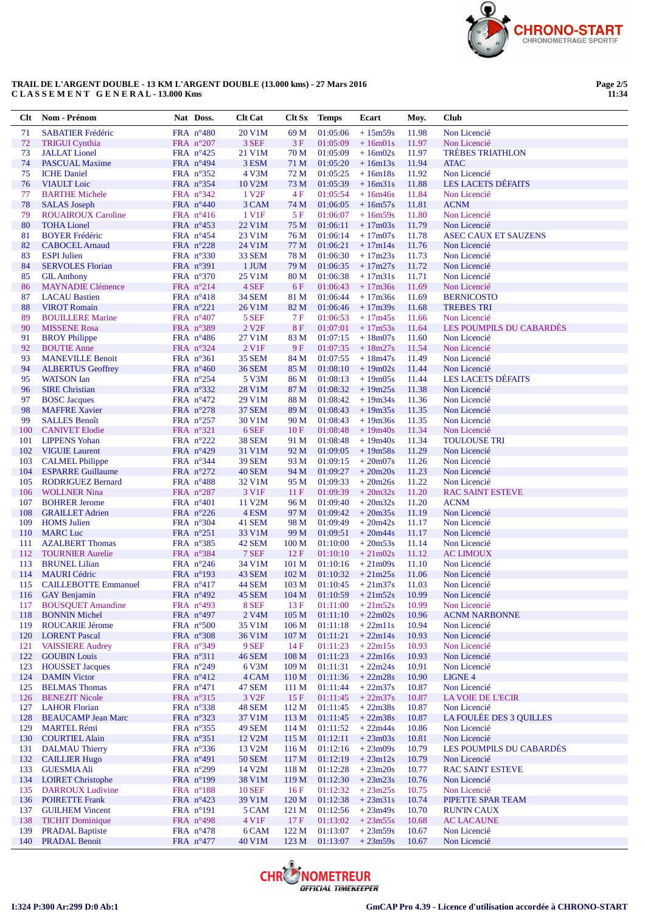

## TRAIL DE L'ARGENT DOUBLE - 13 KM L'ARGENT DOUBLE (13.000 kms) - 27 Mars 2016 CLASSEMENT GENERAL-13.000 Kms

Page 2/5<br>11:34

| Clt        | Nom - Prénom                                       | Nat Doss.                                | <b>Clt Cat</b>             | Clt Sx                               | <b>Temps</b>         | Ecart                              | Moy.           | <b>Club</b>                                     |
|------------|----------------------------------------------------|------------------------------------------|----------------------------|--------------------------------------|----------------------|------------------------------------|----------------|-------------------------------------------------|
| 71         | <b>SABATIER Frédéric</b>                           | FRA $n^{\circ}480$                       | 20 V1M                     | 69 M                                 | 01:05:06             | $+15m59s$                          | 11.98          | Non Licencié                                    |
| 72         | <b>TRIGUI Cynthia</b>                              | FRA $n^{\circ}207$                       | 3 SEF                      | 3F                                   | 01:05:09             | $+16m01s$                          | 11.97          | Non Licencié                                    |
| 73         | <b>JALLAT Lionel</b>                               | FRA $n^{\circ}425$                       | 21 V1M                     | 70 M                                 | 01:05:09             | $+16m02s$                          | 11.97          | <b>TRÈBES TRIATHLON</b>                         |
| 74         | <b>PASCUAL Maxime</b>                              | FRA $n^{\circ}494$                       | 3 ESM                      | 71 M                                 | 01:05:20             | $+16m13s$                          | 11.94          | <b>ATAC</b>                                     |
| 75         | <b>ICHE</b> Daniel                                 | FRA $n^{\circ}352$                       | 4 V3M                      | 72 M                                 | 01:05:25             | $+16m18s$                          | 11.92          | Non Licencié                                    |
| 76         | <b>VIAULT</b> Loic                                 | FRA n°354                                | 10 V2M                     | 73 M                                 | 01:05:39             | $+16m31s$                          | 11.88          | <b>LES LACETS DÉFAITS</b>                       |
| 77<br>78   | <b>BARTHE Michele</b><br><b>SALAS</b> Joseph       | FRA $n^{\circ}342$<br>FRA $n^{\circ}440$ | 1 V <sub>2F</sub><br>3 CAM | 4F<br>74 M                           | 01:05:54<br>01:06:05 | $+16m46s$<br>$+16m57s$             | 11.84<br>11.81 | Non Licencié<br><b>ACNM</b>                     |
| 79         | <b>ROUAIROUX Caroline</b>                          | FRA $n^{\circ}416$                       | 1 V <sub>1</sub> F         | 5F                                   | 01:06:07             | $+16m59s$                          | 11.80          | Non Licencié                                    |
| 80         | <b>TOHA Lionel</b>                                 | FRA $n^{\circ}453$                       | 22 V1M                     | 75 M                                 | 01:06:11             | $+17m03s$                          | 11.79          | Non Licencié                                    |
| 81         | <b>BOYER Frédéric</b>                              | FRA $n^{\circ}454$                       | 23 V1M                     | 76 M                                 | 01:06:14             | $+17m07s$                          | 11.78          | <b>ASEC CAUX ET SAUZENS</b>                     |
| 82         | <b>CABOCEL Arnaud</b>                              | FRA n°228                                | 24 V1M                     | 77 M                                 | 01:06:21             | $+17m14s$                          | 11.76          | Non Licencié                                    |
| 83         | <b>ESPI</b> Julien                                 | FRA $n^{\circ}330$                       | <b>33 SEM</b>              | 78 M                                 | 01:06:30             | $+17m23s$                          | 11.73          | Non Licencié                                    |
| 84         | <b>SERVOLES</b> Florian                            | FRA n°391                                | 1 JUM                      | 79 M                                 | 01:06:35             | $+17m27s$                          | 11.72          | Non Licencié                                    |
| 85         | <b>GIL Anthony</b>                                 | FRA $n^{\circ}370$                       | 25 V1M                     | 80 M                                 | 01:06:38             | $+17m31s$                          | 11.71          | Non Licencié                                    |
| 86         | <b>MAYNADIE Clémence</b>                           | FRA $n^{\circ}214$                       | 4 SEF                      | 6F                                   | 01:06:43             | $+17m36s$                          | 11.69          | Non Licencié                                    |
| 87         | <b>LACAU</b> Bastien                               | FRA $n^{\circ}418$                       | <b>34 SEM</b>              | 81 M                                 | 01:06:44             | $+17m36s$                          | 11.69          | <b>BERNICOSTO</b>                               |
| 88         | <b>VIROT</b> Romain                                | FRA $n^{\circ}221$                       | 26 V1M                     | 82 M                                 | 01:06:46             | $+17m39s$                          | 11.68          | <b>TREBES TRI</b>                               |
| 89         | <b>BOUILLERE</b> Marine                            | FRA $n^{\circ}407$                       | 5 SEF<br>2 V <sub>2F</sub> | 7F<br>8F                             | 01:06:53<br>01:07:01 | $+17m45s$                          | 11.66          | Non Licencié<br><b>LES POUMPILS DU CABARDÈS</b> |
| 90<br>91   | <b>MISSENE Rosa</b><br><b>BROY Philippe</b>        | FRA n°389<br>FRA $n^{\circ}486$          | 27 V1M                     | 83 M                                 | 01:07:15             | $+17m53s$<br>$+18m07s$             | 11.64<br>11.60 | Non Licencié                                    |
| 92         | <b>BOUTIE Anne</b>                                 | FRA n°324                                | 2 V1F                      | 9F                                   | 01:07:35             | $+18m27s$                          | 11.54          | Non Licencié                                    |
| 93         | <b>MANEVILLE Benoit</b>                            | FRA $n^{\circ}361$                       | <b>35 SEM</b>              | 84 M                                 | 01:07:55             | $+18m47s$                          | 11.49          | Non Licencié                                    |
| 94         | <b>ALBERTUS Geoffrey</b>                           | FRA $n^{\circ}460$                       | <b>36 SEM</b>              | 85 M                                 | 01:08:10             | $+19m02s$                          | 11.44          | Non Licencié                                    |
| 95         | <b>WATSON</b> Ian                                  | FRA $n^{\circ}254$                       | 5 V3M                      | 86 M                                 | 01:08:13             | $+19m05s$                          | 11.44          | <b>LES LACETS DÉFAITS</b>                       |
| 96         | <b>SIRE Christian</b>                              | FRA $n^{\circ}332$                       | 28 V1M                     | 87 M                                 | 01:08:32             | $+19m25s$                          | 11.38          | Non Licencié                                    |
| 97         | <b>BOSC</b> Jacques                                | FRA $n^{\circ}472$                       | 29 V1M                     | 88 M                                 | 01:08:42             | $+19m34s$                          | 11.36          | Non Licencié                                    |
| 98         | <b>MAFFRE Xavier</b>                               | FRA n°278                                | <b>37 SEM</b>              | 89 M                                 | 01:08:43             | $+19m35s$                          | 11.35          | Non Licencié                                    |
| 99         | <b>SALLES Benoît</b>                               | FRA $n^{\circ}257$                       | 30 V1M                     | 90 M                                 | 01:08:43             | $+19m36s$                          | 11.35          | Non Licencié                                    |
| 100        | <b>CANIVET Elodie</b>                              | FRA $n^{\circ}321$                       | 6 SEF                      | 10F                                  | 01:08:48             | $+19m40s$                          | 11.34          | Non Licencié                                    |
| 101        | <b>LIPPENS</b> Yohan                               | FRA $n^{\circ}222$                       | <b>38 SEM</b>              | 91 M                                 | 01:08:48             | $+19m40s$                          | 11.34          | <b>TOULOUSE TRI</b>                             |
| 102<br>103 | <b>VIGUIE Laurent</b><br><b>CALMEL Philippe</b>    | FRA $n^{\circ}429$<br>FRA $n^{\circ}344$ | 31 V1M<br><b>39 SEM</b>    | 92 M<br>93 M                         | 01:09:05<br>01:09:15 | $+19m58s$<br>$+20m07s$             | 11.29<br>11.26 | Non Licencié<br>Non Licencié                    |
| 104        | <b>ESPARRE Guillaume</b>                           | FRA $n^{\circ}272$                       | 40 SEM                     | 94 M                                 | 01:09:27             | $+20m20s$                          | 11.23          | Non Licencié                                    |
| 105        | <b>RODRIGUEZ Bernard</b>                           | FRA $n^{\circ}488$                       | 32 V1M                     | 95 M                                 | 01:09:33             | $+20m26s$                          | 11.22          | Non Licencié                                    |
| 106        | <b>WOLLNER Nina</b>                                | FRA $n^{\circ}287$                       | 3 V1F                      | 11F                                  | 01:09:39             | $+20m32s$                          | 11.20          | <b>RAC SAINT ESTEVE</b>                         |
| 107        | <b>BOHRER Jerome</b>                               | FRA $n^{\circ}401$                       | 11 V2M                     | 96 M                                 | 01:09:40             | $+20m32s$                          | 11.20          | <b>ACNM</b>                                     |
| 108        | <b>GRAILLET Adrien</b>                             | FRA $n^{\circ}226$                       | 4 ESM                      | 97 M                                 | 01:09:42             | $+20m35s$                          | 11.19          | Non Licencié                                    |
| 109        | <b>HOMS</b> Julien                                 | FRA n°304                                | 41 SEM                     | 98 M                                 | 01:09:49             | $+20m42s$                          | 11.17          | Non Licencié                                    |
| 110        | <b>MARC</b> Luc                                    | FRA n°251                                | 33 V1M                     | 99 M                                 | 01:09:51             | $+20m44s$                          | 11.17          | Non Licencié                                    |
| 111        | <b>AZALBERT Thomas</b>                             | FRA n°385                                | 42 SEM                     | 100 <sub>M</sub>                     | 01:10:00             | $+20m53s$                          | 11.14          | Non Licencié                                    |
| 112        | <b>TOURNIER Aurelie</b>                            | FRA n°384                                | 7 SEF                      | 12F                                  | 01:10:10             | $+21m02s$                          | 11.12          | <b>AC LIMOUX</b>                                |
| 113        | <b>BRUNEL Lilian</b>                               | FRA $n^{\circ}246$                       | 34 V1M                     | 101 <sub>M</sub>                     | 01:10:16             | $+21m09s$                          | 11.10          | Non Licencié                                    |
| 114        | <b>MAURI</b> Cédric                                | FRA n°193                                | 43 SEM                     | 102 <sub>M</sub><br>103 <sub>M</sub> | 01:10:32             | $+21m25s$                          | 11.06<br>11.03 | Non Licencié<br>Non Licencié                    |
| 115<br>116 | <b>CAILLEBOTTE Emmanuel</b><br><b>GAY Benjamin</b> | $FRA$ n°417<br>FRA $n^{\circ}492$        | <b>44 SEM</b><br>45 SEM    | 104 M                                | 01:10:45             | $+21m37s$<br>$01:10:59$ + $21m52s$ | 10.99          | Non Licencié                                    |
| 117        | <b>BOUSQUET Amandine</b>                           | FRA n°493                                | 8 SEF                      | 13F                                  | 01:11:00             | $+21m52s$                          | 10.99          | Non Licencié                                    |
| 118        | <b>BONNIN Michel</b>                               | FRA n°497                                | 2 V <sub>4</sub> M         | 105 M                                | 01:11:10             | $+22m02s$                          | 10.96          | <b>ACNM NARBONNE</b>                            |
| 119        | <b>ROUCARIE Jérome</b>                             | FRA $n^{\circ}500$                       | 35 V1M                     | 106 <sub>M</sub>                     | 01:11:18             | $+22m11s$                          | 10.94          | Non Licencié                                    |
| 120        | <b>LORENT Pascal</b>                               | FRA n°308                                | 36 V1M                     | 107 M                                | 01:11:21             | $+22m14s$                          | 10.93          | Non Licencié                                    |
| 121        | <b>VAISSIERE Audrey</b>                            | FRA n°349                                | 9 SEF                      | 14F                                  | 01:11:23             | $+22m15s$                          | 10.93          | Non Licencié                                    |
| 122        | <b>GOUBIN Louis</b>                                | FRA $n^{\circ}311$                       | <b>46 SEM</b>              | 108 M                                | 01:11:23             | $+22m16s$                          | 10.93          | Non Licencié                                    |
| 123        | <b>HOUSSET Jacques</b>                             | FRA n°249                                | 6 V3M                      | 109 <sub>M</sub>                     | 01:11:31             | $+22m24s$                          | 10.91          | Non Licencié                                    |
| 124        | <b>DAMIN Victor</b>                                | FRA $n^{\circ}412$                       | 4 CAM                      | 110 <sub>M</sub>                     | 01:11:36             | $+22m28s$                          | 10.90          | <b>LIGNE 4</b>                                  |
| 125        | <b>BELMAS Thomas</b>                               | FRA $n^{\circ}471$                       | 47 SEM                     | 111 M                                | 01:11:44             | $+22m37s$                          | 10.87          | Non Licencié                                    |
| 126        | <b>BENEZIT Nicole</b>                              | FRA n°315                                | 3 V <sub>2F</sub>          | 15F                                  | 01:11:45             | $+22m37s$                          | 10.87          | LA VOIE DE L'ECIR<br>Non Licencié               |
| 127<br>128 | <b>LAHOR Florian</b><br><b>BEAUCAMP</b> Jean Marc  | FRA $n^{\circ}338$<br>FRA n°323          | 48 SEM<br>37 V1M           | 112 M<br>113M                        | 01:11:45<br>01:11:45 | $+22m38s$<br>$+22m38s$             | 10.87<br>10.87 | LA FOULÉE DES 3 QUILLES                         |
| 129        | <b>MARTEL Rémi</b>                                 | FRA n°355                                | 49 SEM                     | 114 M                                | 01:11:52             | $+22m44s$                          | 10.86          | Non Licencié                                    |
| 130        | <b>COURTIEL Alain</b>                              | FRA $n^{\circ}351$                       | 12 V2M                     | 115 <sub>M</sub>                     | 01:12:11             | $+23m03s$                          | 10.81          | Non Licencié                                    |
| 131        | <b>DALMAU Thierry</b>                              | FRA n°336                                | 13 V2M                     | 116M                                 | 01:12:16             | $+23m09s$                          | 10.79          | LES POUMPILS DU CABARDÈS                        |
| 132        | <b>CAILLIER Hugo</b>                               | FRA $n^{\circ}491$                       | <b>50 SEM</b>              | 117 <sub>M</sub>                     | 01:12:19             | $+23m12s$                          | 10.79          | Non Licencié                                    |
| 133        | <b>GUESMIA Ali</b>                                 | FRA $n^{\circ}299$                       | 14 V <sub>2</sub> M        | 118 <sub>M</sub>                     | 01:12:28             | $+23m20s$                          | 10.77          | <b>RAC SAINT ESTEVE</b>                         |
| 134        | <b>LOIRET Christophe</b>                           | FRA n°199                                | 38 V1M                     | 119 <sub>M</sub>                     | 01:12:30             | $+23m23s$                          | 10.76          | Non Licencié                                    |
| 135        | <b>DARROUX Ludivine</b>                            | FRA $n^{\circ}188$                       | <b>10 SEF</b>              | 16F                                  | 01:12:32             | $+23m25s$                          | 10.75          | Non Licencié                                    |
| 136        | <b>POIRETTE Frank</b>                              | FRA $n^{\circ}423$                       | 39 V1M                     | 120 M                                | 01:12:38             | $+23m31s$                          | 10.74          | PIPETTE SPAR TEAM                               |
| 137        | <b>GUILHEM Vincent</b>                             | $FRA$ n°191                              | 5 CAM                      | 121 M                                | 01:12:56             | $+23m49s$                          | 10.70          | <b>RUN'IN CAUX</b>                              |
| 138        | <b>TICHIT Dominique</b>                            | FRA $n^{\circ}498$                       | 4 V1F                      | 17F                                  | 01:13:02             | $+23m55s$                          | 10.68          | <b>AC LACAUNE</b>                               |
| 139<br>140 | <b>PRADAL Baptiste</b><br><b>PRADAL Benoit</b>     | FRA $n^{\circ}478$<br>FRA $n^{\circ}477$ | 6 CAM<br>40 V1M            | 122M<br>123 M                        | 01:13:07<br>01:13:07 | $+23m59s$<br>$+23m59s$             | 10.67<br>10.67 | Non Licencié<br>Non Licencié                    |
|            |                                                    |                                          |                            |                                      |                      |                                    |                |                                                 |

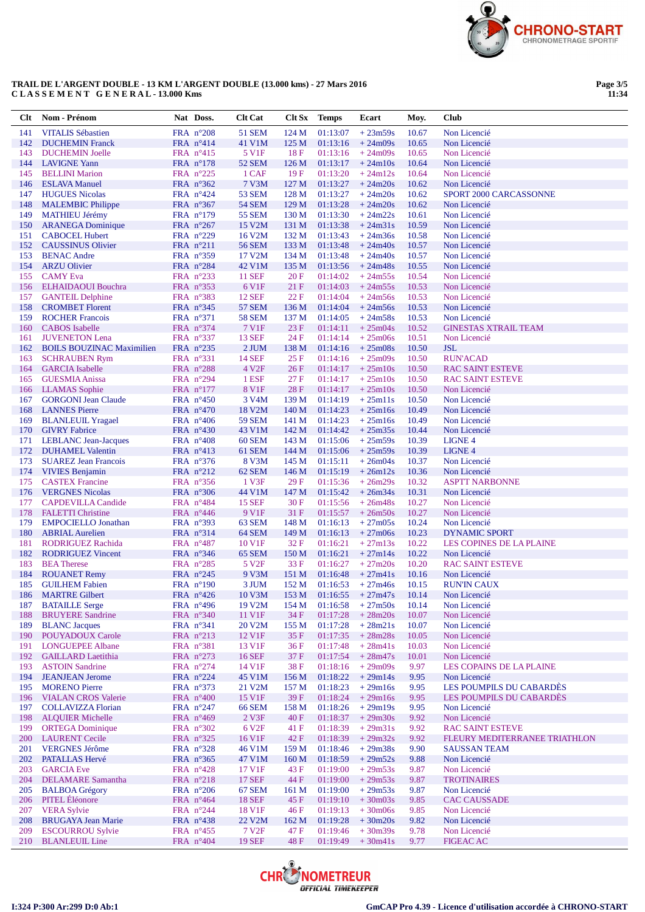

#### **TRAIL DE L'ARGENT DOUBLE - 13 KM L'ARGENT DOUBLE (13.000 kms) - 27 Mars 2016 C L A S S E M E N T G E N E R A L - 13.000 Kms**

**Page 3/5 11:34**

| Clt        | Nom - Prénom                                           | Nat Doss.                                | <b>Clt Cat</b>                 | Clt Sx                    | Temps                | Ecart                  | Moy.           | <b>Club</b>                                          |
|------------|--------------------------------------------------------|------------------------------------------|--------------------------------|---------------------------|----------------------|------------------------|----------------|------------------------------------------------------|
| 141        | <b>VITALIS Sébastien</b>                               | FRA $n^{\circ}208$                       | 51 SEM                         | 124 M                     | 01:13:07             | $+23m59s$              | 10.67          | Non Licencié                                         |
| 142        | <b>DUCHEMIN Franck</b>                                 | FRA $n^{\circ}414$                       | 41 V1M                         | 125 M                     | 01:13:16             | $+24m09s$              | 10.65          | Non Licencié                                         |
| 143        | <b>DUCHEMIN Joelle</b>                                 | FRA $n^{\circ}415$                       | 5 V1F                          | 18F                       | 01:13:16             | $+24m09s$              | 10.65          | Non Licencié                                         |
| 144        | <b>LAVIGNE Yann</b>                                    | FRA $n^{\circ}178$                       | <b>52 SEM</b>                  | 126 <sub>M</sub>          | 01:13:17             | $+24m10s$              | 10.64          | Non Licencié                                         |
| 145        | <b>BELLINI</b> Marion                                  | FRA $n^{\circ}225$                       | 1 CAF                          | 19F                       | 01:13:20             | $+24m12s$              | 10.64          | Non Licencié                                         |
| 146        | <b>ESLAVA Manuel</b>                                   | FRA $n^{\circ}362$                       | 7 V3M                          | 127 M                     | 01:13:27             | $+24m20s$              | 10.62          | Non Licencié                                         |
| 147<br>148 | <b>HUGUES Nicolas</b><br><b>MALEMBIC Philippe</b>      | FRA $n^{\circ}424$<br>FRA $n^{\circ}367$ | <b>53 SEM</b><br><b>54 SEM</b> | 128 M<br>129 <sub>M</sub> | 01:13:27<br>01:13:28 | $+24m20s$<br>$+24m20s$ | 10.62<br>10.62 | SPORT 2000 CARCASSONNE<br>Non Licencié               |
| 149        | <b>MATHIEU Jérémy</b>                                  | FRA $n^{\circ}179$                       | <b>55 SEM</b>                  | 130 M                     | 01:13:30             | $+24m22s$              | 10.61          | Non Licencié                                         |
| 150        | <b>ARANEGA Dominique</b>                               | FRA $n^{\circ}267$                       | 15 V2M                         | 131 M                     | 01:13:38             | $+24m31s$              | 10.59          | Non Licencié                                         |
| 151        | <b>CABOCEL Hubert</b>                                  | FRA $n^{\circ}229$                       | 16 V2M                         | 132 M                     | 01:13:43             | $+24m36s$              | 10.58          | Non Licencié                                         |
| 152        | <b>CAUSSINUS Olivier</b>                               | FRA $n^{\circ}211$                       | <b>56 SEM</b>                  | 133 M                     | 01:13:48             | $+24m40s$              | 10.57          | Non Licencié                                         |
| 153        | <b>BENAC Andre</b>                                     | FRA $n^{\circ}359$                       | 17 V2M                         | 134 M                     | 01:13:48             | $+24m40s$              | 10.57          | Non Licencié                                         |
| 154        | <b>ARZU Olivier</b>                                    | FRA n°284                                | 42 V1M                         | 135 M                     | 01:13:56             | $+24m48s$              | 10.55          | Non Licencié                                         |
| 155        | <b>CAMY</b> Eva                                        | FRA $n^{\circ}233$                       | <b>11 SEF</b>                  | 20F                       | 01:14:02             | $+24m55s$              | 10.54          | Non Licencié                                         |
|            | 156 ELHAIDAOUI Bouchra                                 | FRA $n^{\circ}353$                       | 6 V1F                          | 21 F                      | 01:14:03             | $+24m55s$              | 10.53          | Non Licencié                                         |
| 157        | <b>GANTEIL Delphine</b>                                | FRA $n^{\circ}383$                       | <b>12 SEF</b>                  | 22F                       | 01:14:04             | $+24m56s$              | 10.53          | Non Licencié                                         |
| 158        | <b>CROMBET Florent</b>                                 | FRA $n^{\circ}345$                       | <b>57 SEM</b>                  | 136 M                     | 01:14:04             | $+24m56s$              | 10.53          | Non Licencié                                         |
| 159        | <b>ROCHER Francois</b><br><b>CABOS</b> Isabelle        | FRA $n^{\circ}371$                       | <b>58 SEM</b><br>7 V1F         | 137 M<br>23F              | 01:14:05             | $+24m58s$              | 10.53<br>10.52 | Non Licencié<br><b>GINESTAS XTRAIL TEAM</b>          |
| 160<br>161 | <b>JUVENETON Lena</b>                                  | FRA $n^{\circ}374$<br>FRA $n^{\circ}337$ | <b>13 SEF</b>                  | 24 F                      | 01:14:11<br>01:14:14 | $+25m04s$<br>$+25m06s$ | 10.51          | Non Licencié                                         |
| 162        | <b>BOILS BOUZINAC Maximilien</b>                       | FRA $n^{\circ}235$                       | $2$ JUM                        | 138 M                     | 01:14:16             | $+25m08s$              | 10.50          | <b>JSL</b>                                           |
| 163        | <b>SCHRAUBEN Rym</b>                                   | FRA n°331                                | <b>14 SEF</b>                  | 25F                       | 01:14:16             | $+25m09s$              | 10.50          | <b>RUN'ACAD</b>                                      |
| 164        | <b>GARCIA</b> Isabelle                                 | FRA n°288                                | 4 V <sub>2F</sub>              | 26F                       | 01:14:17             | $+25m10s$              | 10.50          | <b>RAC SAINT ESTEVE</b>                              |
| 165        | <b>GUESMIA Anissa</b>                                  | FRA n°294                                | 1 ESF                          | 27F                       | 01:14:17             | $+25m10s$              | 10.50          | <b>RAC SAINT ESTEVE</b>                              |
| 166        | <b>LLAMAS</b> Sophie                                   | FRA $n^{\circ}177$                       | 8 V1F                          | 28F                       | 01:14:17             | $+25m10s$              | 10.50          | Non Licencié                                         |
| 167        | <b>GORGONI Jean Claude</b>                             | FRA $n^{\circ}450$                       | 3 V <sub>4</sub> M             | 139 M                     | 01:14:19             | $+25m11s$              | 10.50          | Non Licencié                                         |
| 168        | <b>LANNES</b> Pierre                                   | FRA $n^{\circ}470$                       | 18 V2M                         | 140 M                     | 01:14:23             | $+25m16s$              | 10.49          | Non Licencié                                         |
| 169        | <b>BLANLEUIL Yragael</b>                               | FRA $n^{\circ}406$                       | <b>59 SEM</b>                  | 141 M                     | 01:14:23             | $+25m16s$              | 10.49          | Non Licencié                                         |
| 170        | <b>GIVRY Fabrice</b>                                   | FRA $n^{\circ}430$                       | 43 V1M                         | 142 M                     | 01:14:42             | $+25m35s$              | 10.44          | Non Licencié                                         |
| 171        | <b>LEBLANC</b> Jean-Jacques                            | FRA $n^{\circ}408$                       | <b>60 SEM</b>                  | 143 M                     | 01:15:06             | $+25m59s$              | 10.39          | <b>LIGNE 4</b>                                       |
| 172<br>173 | <b>DUHAMEL Valentin</b><br><b>SUAREZ Jean Francois</b> | FRA $n^{\circ}413$<br>FRA $n^{\circ}376$ | 61 SEM<br>8 V3M                | 144 M<br>145 M            | 01:15:06<br>01:15:11 | $+25m59s$<br>$+26m04s$ | 10.39<br>10.37 | <b>LIGNE 4</b><br>Non Licencié                       |
| 174        | <b>VIVIES Benjamin</b>                                 | FRA $n^{\circ}212$                       | 62 SEM                         | 146 M                     | 01:15:19             | $+26m12s$              | 10.36          | Non Licencié                                         |
| 175        | <b>CASTEX Francine</b>                                 | FRA $n^{\circ}356$                       | 1 V3F                          | 29F                       | 01:15:36             | $+26m29s$              | 10.32          | <b>ASPTT NARBONNE</b>                                |
| 176        | <b>VERGNES Nicolas</b>                                 | FRA $n^{\circ}306$                       | 44 V1M                         | 147 M                     | 01:15:42             | $+26m34s$              | 10.31          | Non Licencié                                         |
| 177        | <b>CAPDEVILLA Candide</b>                              | FRA $n^{\circ}484$                       | <b>15 SEF</b>                  | 30F                       | 01:15:56             | $+26m48s$              | 10.27          | Non Licencié                                         |
| 178        | <b>FALETTI Christine</b>                               | FRA $n^{\circ}446$                       | 9 V1F                          | 31 F                      | 01:15:57             | $+26m50s$              | 10.27          | Non Licencié                                         |
| 179        | <b>EMPOCIELLO Jonathan</b>                             | FRA n°393                                | 63 SEM                         | 148 M                     | 01:16:13             | $+27m05s$              | 10.24          | Non Licencié                                         |
| 180        | <b>ABRIAL Aurelien</b>                                 | FRA $n^{\circ}314$                       | 64 SEM                         | 149 M                     | 01:16:13             | $+27m06s$              | 10.23          | <b>DYNAMIC SPORT</b>                                 |
| 181        | RODRIGUEZ Rachida                                      | FRA $n^{\circ}487$                       | 10 V1F                         | 32F                       | 01:16:21             | $+27m13s$              | 10.22          | LES COPINES DE LA PLAINE                             |
| 182        | <b>RODRIGUEZ Vincent</b>                               | FRA $n^{\circ}346$                       | 65 SEM                         | 150 M                     | 01:16:21             | $+27m14s$              | 10.22          | Non Licencié                                         |
| 183        | <b>BEA</b> Therese                                     | FRA $n^{\circ}285$                       | 5 V <sub>2F</sub>              | 33 F                      | 01:16:27             | $+27m20s$              | 10.20          | <b>RAC SAINT ESTEVE</b>                              |
| 184<br>185 | <b>ROUANET Remy</b><br><b>GUILHEM Fabien</b>           | FRA $n^{\circ}245$<br>FRA $n^{\circ}190$ | 9 V3M<br>3 JUM                 | 151 M<br>152 M            | 01:16:48<br>01:16:53 | $+27m41s$<br>$+27m46s$ | 10.16<br>10.15 | Non Licencié<br><b>RUN'IN CAUX</b>                   |
|            | 186 MARTRE Gilbert                                     | FRA $n^{\circ}426$                       | 10 V3M                         | 153 M                     |                      | $01:16:55 + 27m47s$    | 10.14          | Non Licencié                                         |
| 187        | <b>BATAILLE Serge</b>                                  | FRA n°496                                | 19 V2M                         | 154 M                     | 01:16:58             | $+27m50s$              | 10.14          | Non Licencié                                         |
| 188        | <b>BRUYERE Sandrine</b>                                | FRA n°340                                | 11 V1F                         | 34 F                      | 01:17:28             | $+28m20s$              | 10.07          | Non Licencié                                         |
| 189        | <b>BLANC</b> Jacques                                   | FRA n°341                                | 20 V2M                         | 155 M                     | 01:17:28             | $+28m21s$              | 10.07          | Non Licencié                                         |
| 190        | <b>POUYADOUX Carole</b>                                | FRA n°213                                | 12 V1F                         | 35 F                      | 01:17:35             | $+28m28s$              | 10.05          | Non Licencié                                         |
| 191        | <b>LONGUEPEE Albane</b>                                | FRA n°381                                | 13 V1F                         | 36F                       | 01:17:48             | $+28m41s$              | 10.03          | Non Licencié                                         |
| 192        | <b>GAILLARD Laetithia</b>                              | FRA n°273                                | 16 SEF                         | 37 F                      | 01:17:54             | $+28m47s$              | 10.01          | Non Licencié                                         |
| 193        | <b>ASTOIN Sandrine</b>                                 | FRA $n^{\circ}274$                       | 14 V1F                         | 38 F                      | 01:18:16             | $+29m09s$              | 9.97           | LES COPAINS DE LA PLAINE                             |
| 194        | <b>JEANJEAN Jerome</b>                                 | FRA n°224                                | 45 V1M                         | 156 M                     | 01:18:22             | $+29m14s$              | 9.95           | Non Licencié                                         |
| 195        | <b>MORENO</b> Pierre                                   | FRA $n^{\circ}373$                       | 21 V2M                         | 157 M<br>39F              | 01:18:23<br>01:18:24 | $+29m16s$              | 9.95           | LES POUMPILS DU CABARDÈS<br>LES POUMPILS DU CABARDÈS |
| 197        | 196 VIALAN CROS Valerie<br><b>COLLAVIZZA Florian</b>   | FRA $n^{\circ}400$<br>FRA $n^{\circ}247$ | 15 V1F<br><b>66 SEM</b>        | 158 M                     | 01:18:26             | $+29m16s$<br>$+29m19s$ | 9.95<br>9.95   | Non Licencié                                         |
| 198        | <b>ALQUIER Michelle</b>                                | FRA $n^{\circ}469$                       | 2 V3F                          | 40 F                      | 01:18:37             | $+29m30s$              | 9.92           | Non Licencié                                         |
| 199        | <b>ORTEGA</b> Dominique                                | FRA $n^{\circ}302$                       | 6 V <sub>2F</sub>              | 41 F                      | 01:18:39             | $+29m31s$              | 9.92           | <b>RAC SAINT ESTEVE</b>                              |
| 200        | <b>LAURENT Cecile</b>                                  | FRA n°325                                | 16 V1F                         | 42 F                      | 01:18:39             | $+29m32s$              | 9.92           | FLEURY MEDITERRANEE TRIATHLON                        |
| 201        | <b>VERGNES Jérôme</b>                                  | FRA n°328                                | 46 V1M                         | 159 M                     | 01:18:46             | $+29m38s$              | 9.90           | <b>SAUSSAN TEAM</b>                                  |
| 202        | PATALLAS Hervé                                         | FRA n°365                                | 47 V1M                         | 160 M                     | 01:18:59             | $+29m52s$              | 9.88           | Non Licencié                                         |
| 203        | <b>GARCIA</b> Eve                                      | FRA $n^{\circ}428$                       | 17 V1F                         | 43 F                      | 01:19:00             | $+29m53s$              | 9.87           | Non Licencié                                         |
| 204        | <b>DELAMARE</b> Samantha                               | FRA n°218                                | <b>17 SEF</b>                  | 44 F                      | 01:19:00             | $+29m53s$              | 9.87           | <b>TROTINAIRES</b>                                   |
| 205        | <b>BALBOA</b> Grégory                                  | FRA $n^{\circ}206$                       | 67 SEM                         | 161 M                     | 01:19:00             | $+29m53s$              | 9.87           | Non Licencié                                         |
| 206        | PITEL Éléonore                                         | FRA n°464                                | <b>18 SEF</b>                  | 45 F                      | 01:19:10             | $+30m03s$              | 9.85           | <b>CAC CAUSSADE</b>                                  |
| 207        | <b>VERA Sylvie</b>                                     | FRA $n^{\circ}244$                       | 18 V1F                         | 46 F                      | 01:19:13             | $+30m06s$              | 9.85           | Non Licencié                                         |
| 208<br>209 | <b>BRUGAYA Jean Marie</b><br><b>ESCOURROU Sylvie</b>   | FRA n°438<br>FRA $n^{\circ}455$          | 22 V2M<br>7 V <sub>2F</sub>    | 162 M<br>47 F             | 01:19:28<br>01:19:46 | $+30m20s$<br>$+30m39s$ | 9.82<br>9.78   | Non Licencié<br>Non Licencié                         |
|            | 210 BLANLEUIL Line                                     | FRA $n^{\circ}404$                       | <b>19 SEF</b>                  | 48F                       | 01:19:49             | $+30m41s$              | 9.77           | <b>FIGEAC AC</b>                                     |
|            |                                                        |                                          |                                |                           |                      |                        |                |                                                      |

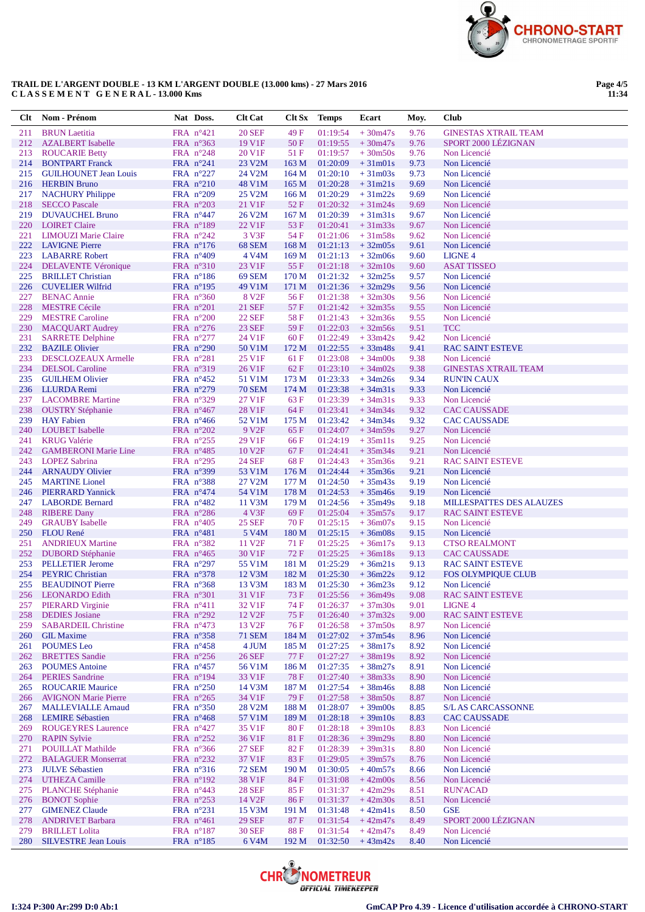

## **TRAIL DE L'ARGENT DOUBLE - 13 KM L'ARGENT DOUBLE (13.000 kms) - 27 Mars 2016 C L A S S E M E N T G E N E R A L - 13.000 Kms**

**Page 4/5 11:34**

| <b>Clt</b> | Nom - Prénom                                         | Nat Doss.                                | <b>Clt Cat</b>     | Clt Sx           | <b>Temps</b>         | Ecart                  | Moy.         | Club                                        |
|------------|------------------------------------------------------|------------------------------------------|--------------------|------------------|----------------------|------------------------|--------------|---------------------------------------------|
| 211        | <b>BRUN</b> Laetitia                                 | FRA n°421                                | <b>20 SEF</b>      | 49 F             | 01:19:54             | $+30m47s$              | 9.76         | <b>GINESTAS XTRAIL TEAM</b>                 |
| 212        | <b>AZALBERT</b> Isabelle                             | FRA $n^{\circ}363$                       | 19 V1F             | 50F              | 01:19:55             | $+30m47s$              | 9.76         | SPORT 2000 LÉZIGNAN                         |
| 213        | <b>ROUCARIE Betty</b>                                | FRA $n^{\circ}248$                       | 20 V1F             | 51 F             | 01:19:57             | $+30m50s$              | 9.76         | Non Licencié                                |
| 214        | <b>BONTPART Franck</b>                               | FRA $n^{\circ}241$                       | 23 V2M             | 163 M            | 01:20:09             | $+31m01s$              | 9.73         | Non Licencié                                |
| 215        | <b>GUILHOUNET Jean Louis</b>                         | FRA $n^{\circ}227$                       | 24 V2M             | 164M             | 01:20:10             | $+31m03s$              | 9.73         | Non Licencié                                |
| 216        | <b>HERBIN Bruno</b>                                  | FRA $n^{\circ}210$                       | 48 V1M             | 165 M            | 01:20:28             | $+31m21s$              | 9.69         | Non Licencié                                |
| 217        | <b>NACHURY Philippe</b>                              | FRA $n^{\circ}209$                       | 25 V2M             | 166 <sub>M</sub> | 01:20:29             | $+31m22s$              | 9.69         | Non Licencié                                |
| 218        | <b>SECCO Pascale</b>                                 | FRA $n^{\circ}203$                       | 21 V1F             | 52F              | 01:20:32             | $+31m24s$              | 9.69         | Non Licencié                                |
| 219        | <b>DUVAUCHEL Bruno</b>                               | FRA $n^{\circ}447$                       | 26 V2M             | 167 <sub>M</sub> | 01:20:39             | $+31m31s$              | 9.67         | Non Licencié                                |
| 220        | <b>LOIRET Claire</b>                                 | FRA n°189                                | 22 V1F             | 53F              | 01:20:41             | $+31m33s$              | 9.67         | Non Licencié                                |
| 221        | <b>LIMOUZI Marie Claire</b>                          | FRA n°242                                | 3 V3F              | 54 F             | 01:21:06             | $+31m58s$              | 9.62         | Non Licencié                                |
| 222        | <b>LAVIGNE Pierre</b>                                | FRA $n^{\circ}176$                       | 68 SEM             | 168 M            | 01:21:13             | $+32m05s$              | 9.61         | Non Licencié                                |
| 223        | <b>LABARRE Robert</b>                                | FRA $n^{\circ}409$                       | 4 V4M              | 169 <sub>M</sub> | 01:21:13             | $+32m06s$              | 9.60         | <b>LIGNE 4</b>                              |
| 224        | <b>DELAVENTE Véronique</b>                           | FRA n°310                                | 23 V1F             | 55F              | 01:21:18             | $+32m10s$              | 9.60         | <b>ASAT TISSEO</b>                          |
| 225        | <b>BRILLET</b> Christian                             | FRA $n^{\circ}186$                       | <b>69 SEM</b>      | 170 M            | 01:21:32             | $+32m25s$              | 9.57         | Non Licencié                                |
| 226        | <b>CUVELIER Wilfrid</b>                              | FRA $n^{\circ}195$                       | 49 V1M             | 171 M            | 01:21:36             | $+32m29s$              | 9.56         | Non Licencié                                |
| 227        | <b>BENAC Annie</b>                                   | FRA n°360                                | 8 V <sub>2F</sub>  | 56 F             | 01:21:38             | $+32m30s$              | 9.56         | Non Licencié                                |
| 228        | <b>MESTRE Cécile</b>                                 | FRA $n^{\circ}201$                       | <b>21 SEF</b>      | 57F              | 01:21:42             | $+32m35s$              | 9.55         | Non Licencié                                |
| 229        | <b>MESTRE Caroline</b>                               | FRA $n^{\circ}200$                       | <b>22 SEF</b>      | 58F              | 01:21:43             | $+32m36s$              | 9.55         | Non Licencié                                |
| 230        | <b>MACQUART Audrey</b>                               | FRA $n^{\circ}276$                       | <b>23 SEF</b>      | 59F              | 01:22:03             | $+32m56s$              | 9.51         | <b>TCC</b><br>Non Licencié                  |
| 231        | <b>SARRETE Delphine</b>                              | FRA $n^{\circ}277$                       | 24 V1F             | 60F              | 01:22:49             | $+33m42s$              | 9.42         |                                             |
| 232<br>233 | <b>BAZILE Olivier</b>                                | FRA n°290                                | 50 V1M<br>25 V1F   | 172 M<br>61 F    | 01:22:55<br>01:23:08 | $+33m48s$              | 9.41<br>9.38 | <b>RAC SAINT ESTEVE</b>                     |
| 234        | <b>DESCLOZEAUX Armelle</b><br><b>DELSOL</b> Caroline | FRA $n^{\circ}281$<br>FRA n°319          | 26 V1F             | 62F              | 01:23:10             | $+34m00s$<br>$+34m02s$ | 9.38         | Non Licencié<br><b>GINESTAS XTRAIL TEAM</b> |
| 235        | <b>GUILHEM Olivier</b>                               | FRA $n^{\circ}452$                       | 51 V1M             | 173 M            | 01:23:33             | $+34m26s$              | 9.34         | <b>RUN'IN CAUX</b>                          |
| 236        | LLURDA Remi                                          | FRA $n^{\circ}279$                       | <b>70 SEM</b>      | 174 M            | 01:23:38             | $+34m31s$              | 9.33         | Non Licencié                                |
| 237        | <b>LACOMBRE Martine</b>                              | FRA n°329                                | 27 V1F             | 63F              | 01:23:39             | $+34m31s$              | 9.33         | Non Licencié                                |
| 238        | <b>OUSTRY Stéphanie</b>                              | FRA $n^{\circ}467$                       | 28 V1F             | 64 F             | 01:23:41             | $+34m34s$              | 9.32         | <b>CAC CAUSSADE</b>                         |
| 239        | <b>HAY</b> Fabien                                    | FRA $n^{\circ}466$                       | 52 V1M             | 175 M            | 01:23:42             | $+34m34s$              | 9.32         | <b>CAC CAUSSADE</b>                         |
| 240        | <b>LOUBET</b> Isabelle                               | FRA $n^{\circ}202$                       | 9 V <sub>2F</sub>  | 65F              | 01:24:07             | $+34m59s$              | 9.27         | Non Licencié                                |
| 241        | <b>KRUG</b> Valérie                                  | FRA $n^{\circ}255$                       | 29 V1F             | 66 F             | 01:24:19             | $+35m11s$              | 9.25         | Non Licencié                                |
| 242        | <b>GAMBERONI Marie Line</b>                          | FRA $n^{\circ}485$                       | 10 V <sub>2F</sub> | 67F              | 01:24:41             | $+35m34s$              | 9.21         | Non Licencié                                |
| 243        | <b>LOPEZ Sabrina</b>                                 | FRA $n^{\circ}295$                       | <b>24 SEF</b>      | 68F              | 01:24:43             | $+35m36s$              | 9.21         | <b>RAC SAINT ESTEVE</b>                     |
| 244        | <b>ARNAUDY Olivier</b>                               | FRA $n^{\circ}399$                       | 53 V1M             | 176M             | 01:24:44             | $+35m36s$              | 9.21         | Non Licencié                                |
| 245        | <b>MARTINE</b> Lionel                                | FRA $n^{\circ}388$                       | 27 V2M             | 177 M            | 01:24:50             | $+35m43s$              | 9.19         | Non Licencié                                |
| 246        | <b>PIERRARD</b> Yannick                              | FRA $n^{\circ}474$                       | 54 V1M             | 178 M            | 01:24:53             | $+35m46s$              | 9.19         | Non Licencié                                |
| 247        | <b>LABORDE</b> Bernard                               | FRA $n^{\circ}482$                       | 11 V3M             | 179 M            | 01:24:56             | $+35m49s$              | 9.18         | <b>MILLESPATTES DES ALAUZES</b>             |
| 248        | <b>RIBERE Dany</b>                                   | FRA $n^{\circ}286$                       | 4 V3F              | 69F              | 01:25:04             | $+35m57s$              | 9.17         | <b>RAC SAINT ESTEVE</b>                     |
| 249        | <b>GRAUBY</b> Isabelle                               | FRA $n^{\circ}405$                       | <b>25 SEF</b>      | 70 F             | 01:25:15             | $+36m07s$              | 9.15         | Non Licencié                                |
| 250        | <b>FLOU</b> René                                     | FRA $n^{\circ}481$                       | 5 V <sub>4</sub> M | 180 M            | 01:25:15             | $+36m08s$              | 9.15         | Non Licencié                                |
| 251        | <b>ANDRIEUX Martine</b>                              | FRA $n^{\circ}382$                       | 11 V <sub>2F</sub> | 71 F             | 01:25:25             | $+36m17s$              | 9.13         | <b>CTSO REALMONT</b>                        |
| 252        | <b>DUBORD</b> Stéphanie                              | FRA $n^{\circ}465$                       | 30 V1F             | 72F              | 01:25:25             | $+36m18s$              | 9.13         | <b>CAC CAUSSADE</b>                         |
| 253        | <b>PELLETIER Jerome</b>                              | FRA n°297                                | 55 V1M             | 181 M            | 01:25:29             | $+36m21s$              | 9.13         | <b>RAC SAINT ESTEVE</b>                     |
| 254        | <b>PEYRIC Christian</b>                              | FRA $n^{\circ}378$                       | 12 V3M             | 182 M            | 01:25:30             | $+36m22s$              | 9.12         | <b>FOS OLYMPIQUE CLUB</b>                   |
| 255        | <b>BEAUDINOT Pierre</b>                              | FRA $n^{\circ}368$                       | 13 V3M             | 183 M            | 01:25:30             | $+36m23s$              | 9.12         | Non Licencié                                |
| 256        | <b>LEONARDO</b> Edith                                | $FRA$ n°301                              | 31 V1F             | 73 F             | 01:25:56             | $+36m49s$              | 9.08         | <b>RAC SAINT ESTEVE</b>                     |
| 257        | <b>PIERARD Virginie</b>                              | FRA $n^{\circ}411$                       | 32 V1F             | 74 F             | 01:26:37             | $+37m30s$              | 9.01         | LIGNE 4                                     |
| 258        | <b>DEDIES</b> Josiane                                | FRA n°292                                | 12 V <sub>2F</sub> | 75F              | 01:26:40             | $+37m32s$              | 9.00         | <b>RAC SAINT ESTEVE</b>                     |
| 259        | <b>SABARDEIL Christine</b>                           | FRA $n^{\circ}473$                       | 13 V <sub>2F</sub> | 76 F             | 01:26:58             | $+37m50s$              | 8.97         | Non Licencié                                |
| 260        | <b>GIL Maxime</b>                                    | FRA n°358                                | <b>71 SEM</b>      | 184 M            | 01:27:02             | $+37m54s$              | 8.96         | Non Licencié                                |
| 261        | <b>POUMES</b> Leo                                    | FRA $n^{\circ}458$                       | 4 JUM              | 185 M<br>77 F    | 01:27:25             | $+38m17s$              | 8.92         | Non Licencié                                |
| 262        | <b>BRETTES</b> Sandie<br><b>POUMES</b> Antoine       | FRA $n^{\circ}256$<br>FRA $n^{\circ}457$ | <b>26 SEF</b>      | 186 M            | 01:27:27<br>01:27:35 | $+38m19s$<br>$+38m27s$ | 8.92<br>8.91 | Non Licencié<br>Non Licencié                |
| 263<br>264 | <b>PERIES</b> Sandrine                               | FRA n°194                                | 56 V1M<br>33 V1F   | <b>78F</b>       | 01:27:40             | $+38m33s$              | 8.90         | Non Licencié                                |
| 265        | <b>ROUCARIE Maurice</b>                              | FRA $n^{\circ}250$                       | 14 V3M             | 187 M            | 01:27:54             | $+38m46s$              | 8.88         | Non Licencié                                |
| 266        | <b>AVIGNON Marie Pierre</b>                          | FRA n°265                                | 34 V1F             | 79F              | 01:27:58             | $+38m50s$              | 8.87         | Non Licencié                                |
| 267        | <b>MALLEVIALLE Arnaud</b>                            | FRA n°350                                | 28 V2M             | 188 M            | 01:28:07             | $+39m00s$              | 8.85         | S/L AS CARCASSONNE                          |
| 268        | <b>LEMIRE Sébastien</b>                              | FRA n°468                                | 57 V1M             | 189 M            | 01:28:18             | $+39m10s$              | 8.83         | <b>CAC CAUSSADE</b>                         |
| 269        | <b>ROUGEYRES Laurence</b>                            | FRA n°427                                | 35 V1F             | 80 F             | 01:28:18             | $+39m10s$              | 8.83         | Non Licencié                                |
| 270        | <b>RAPIN Sylvie</b>                                  | FRA $n^{\circ}252$                       | 36 V1F             | 81 F             | 01:28:36             | $+39m29s$              | 8.80         | Non Licencié                                |
| 271        | <b>POUILLAT Mathilde</b>                             | FRA n°366                                | <b>27 SEF</b>      | 82F              | 01:28:39             | $+39m31s$              | 8.80         | Non Licencié                                |
| 272        | <b>BALAGUER Monserrat</b>                            | FRA $n^{\circ}232$                       | 37 V1F             | 83F              | 01:29:05             | $+39m57s$              | 8.76         | Non Licencié                                |
| 273        | <b>JULVE Sébastien</b>                               | FRA $n^{\circ}316$                       | <b>72 SEM</b>      | 190 M            | 01:30:05             | $+40m57s$              | 8.66         | Non Licencié                                |
| 274        | <b>UTHEZA Camille</b>                                | FRA n°192                                | 38 V1F             | 84 F             | 01:31:08             | $+42m00s$              | 8.56         | Non Licencié                                |
| 275        | <b>PLANCHE Stéphanie</b>                             | FRA $n^{\circ}443$                       | <b>28 SEF</b>      | 85 F             | 01:31:37             | $+42m29s$              | 8.51         | <b>RUN'ACAD</b>                             |
| 276        | <b>BONOT</b> Sophie                                  | FRA $n^{\circ}253$                       | 14 V <sub>2F</sub> | 86 F             | 01:31:37             | $+42m30s$              | 8.51         | Non Licencié                                |
| 277        | <b>GIMENEZ Claude</b>                                | FRA $n^{\circ}231$                       | 15 V3M             | 191 M            | 01:31:48             | $+42m41s$              | 8.50         | $\ensuremath{\mathsf{GSE}}$                 |
| 278        | <b>ANDRIVET Barbara</b>                              | FRA $n^{\circ}461$                       | <b>29 SEF</b>      | 87 F             | 01:31:54             | $+42m47s$              | 8.49         | SPORT 2000 LÉZIGNAN                         |
| 279        | <b>BRILLET</b> Lolita                                | FRA $n^{\circ}187$                       | <b>30 SEF</b>      | 88 F             | 01:31:54             | $+42m47s$              | 8.49         | Non Licencié                                |
| 280        | <b>SILVESTRE Jean Louis</b>                          | FRA n°185                                | 6 V4M              | 192 M            | 01:32:50             | $+43m42s$              | 8.40         | Non Licencié                                |